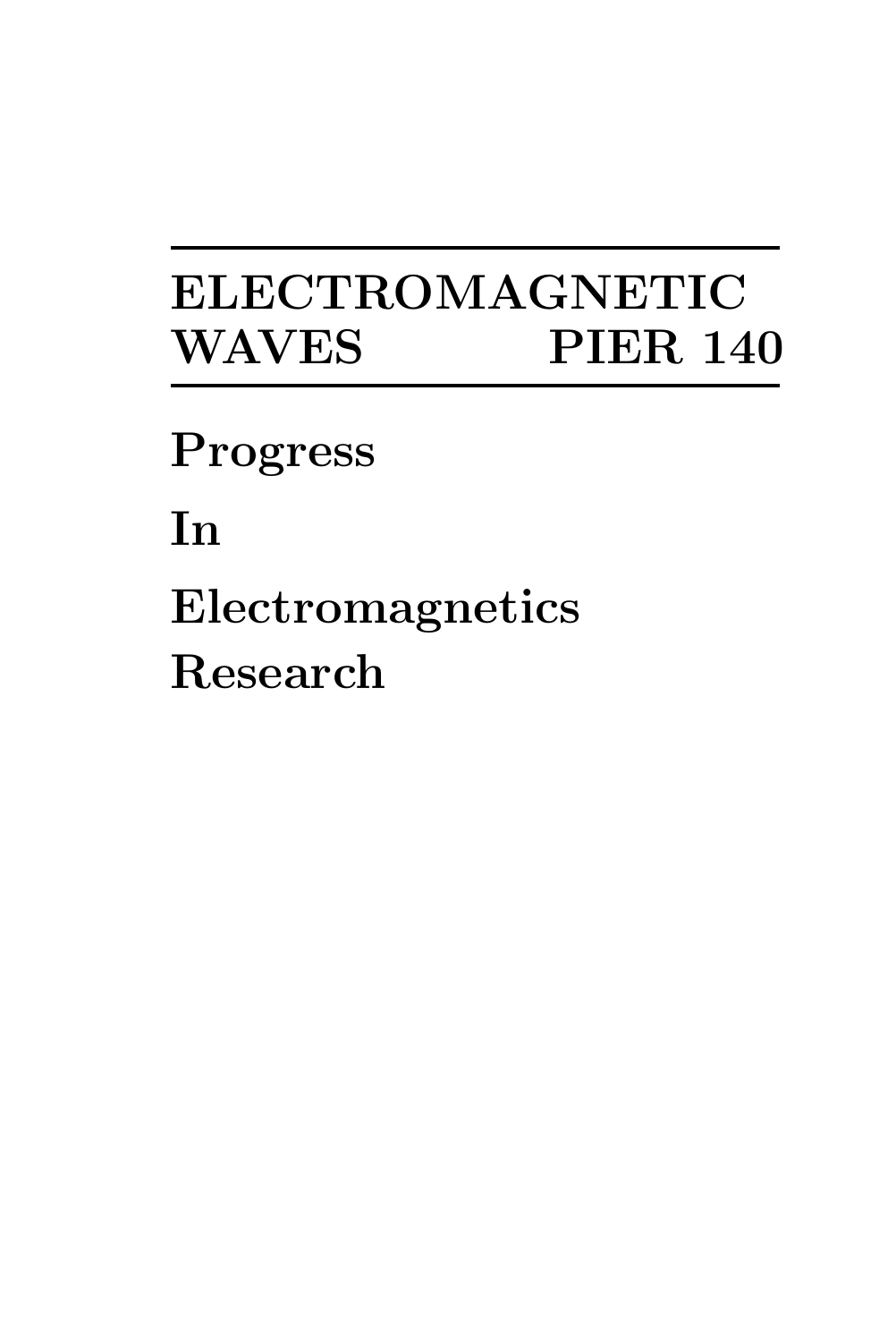# ELECTROMAGNETIC WAVES PIER 140

Progress

In

Electromagnetics Research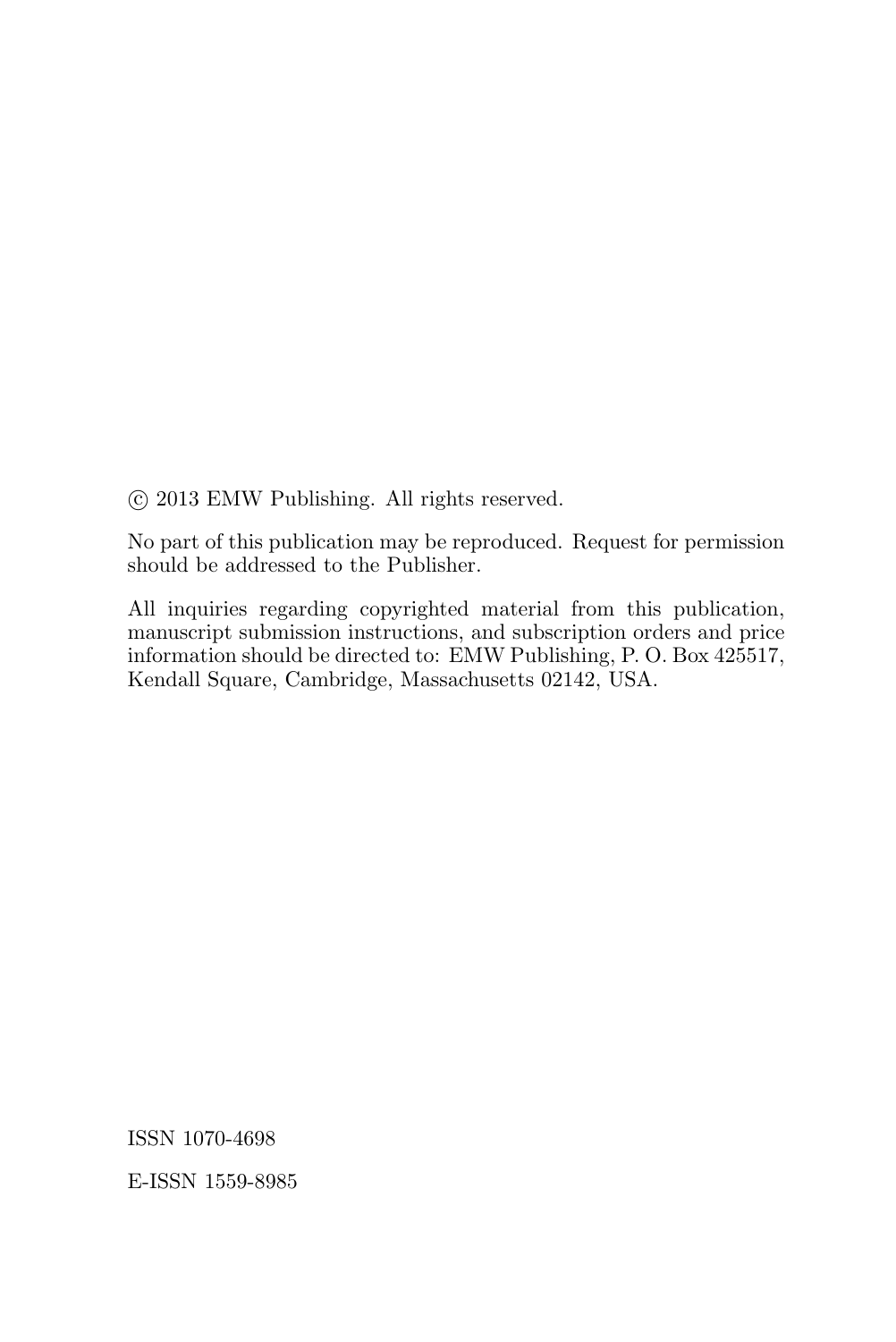°c 2013 EMW Publishing. All rights reserved.

No part of this publication may be reproduced. Request for permission should be addressed to the Publisher.

All inquiries regarding copyrighted material from this publication, manuscript submission instructions, and subscription orders and price information should be directed to: EMW Publishing, P. O. Box 425517, Kendall Square, Cambridge, Massachusetts 02142, USA.

ISSN 1070-4698

E-ISSN 1559-8985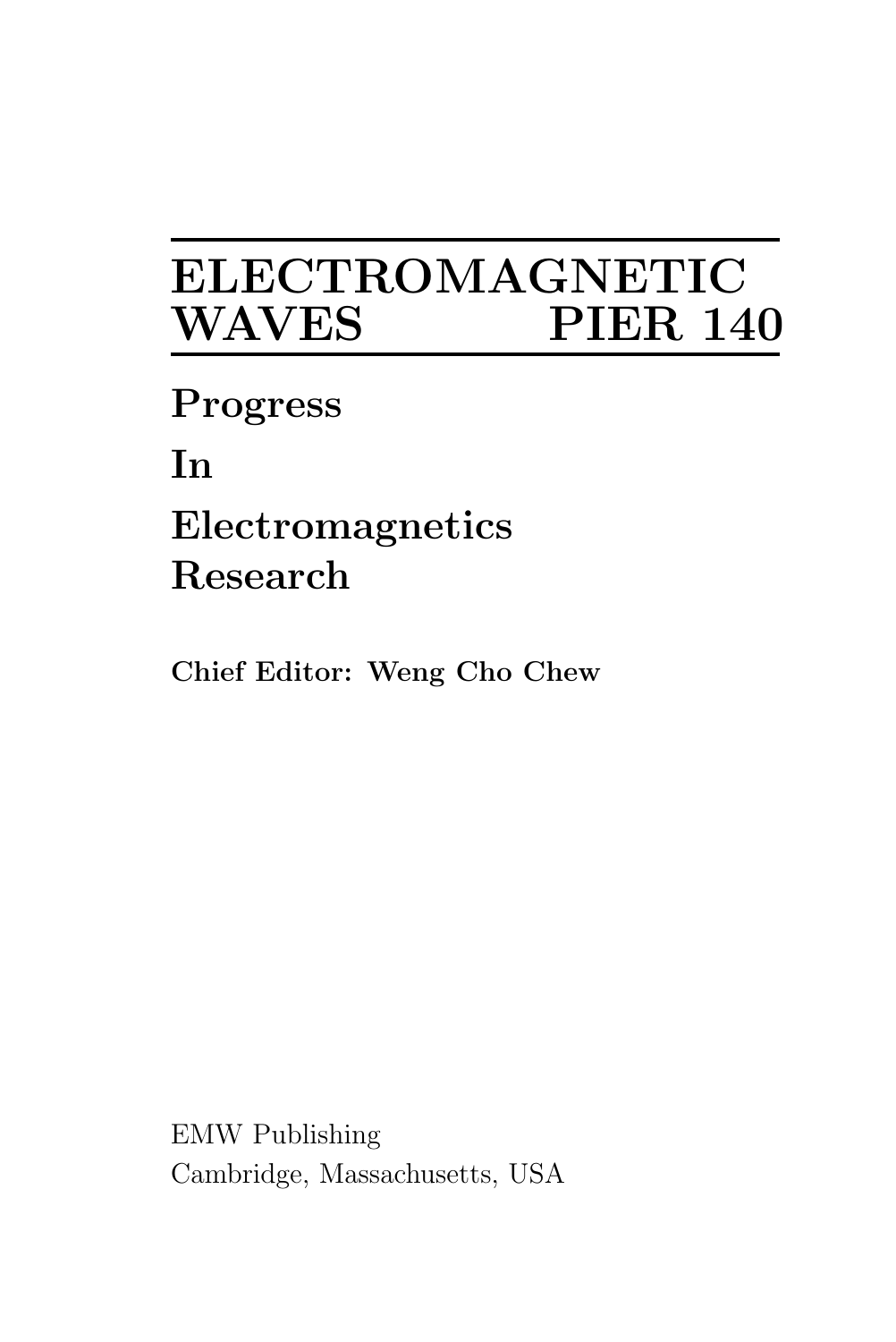# ELECTROMAGNETIC **PIER 140**

Progress

In

# Electromagnetics Research

Chief Editor: Weng Cho Chew

EMW Publishing Cambridge, Massachusetts, USA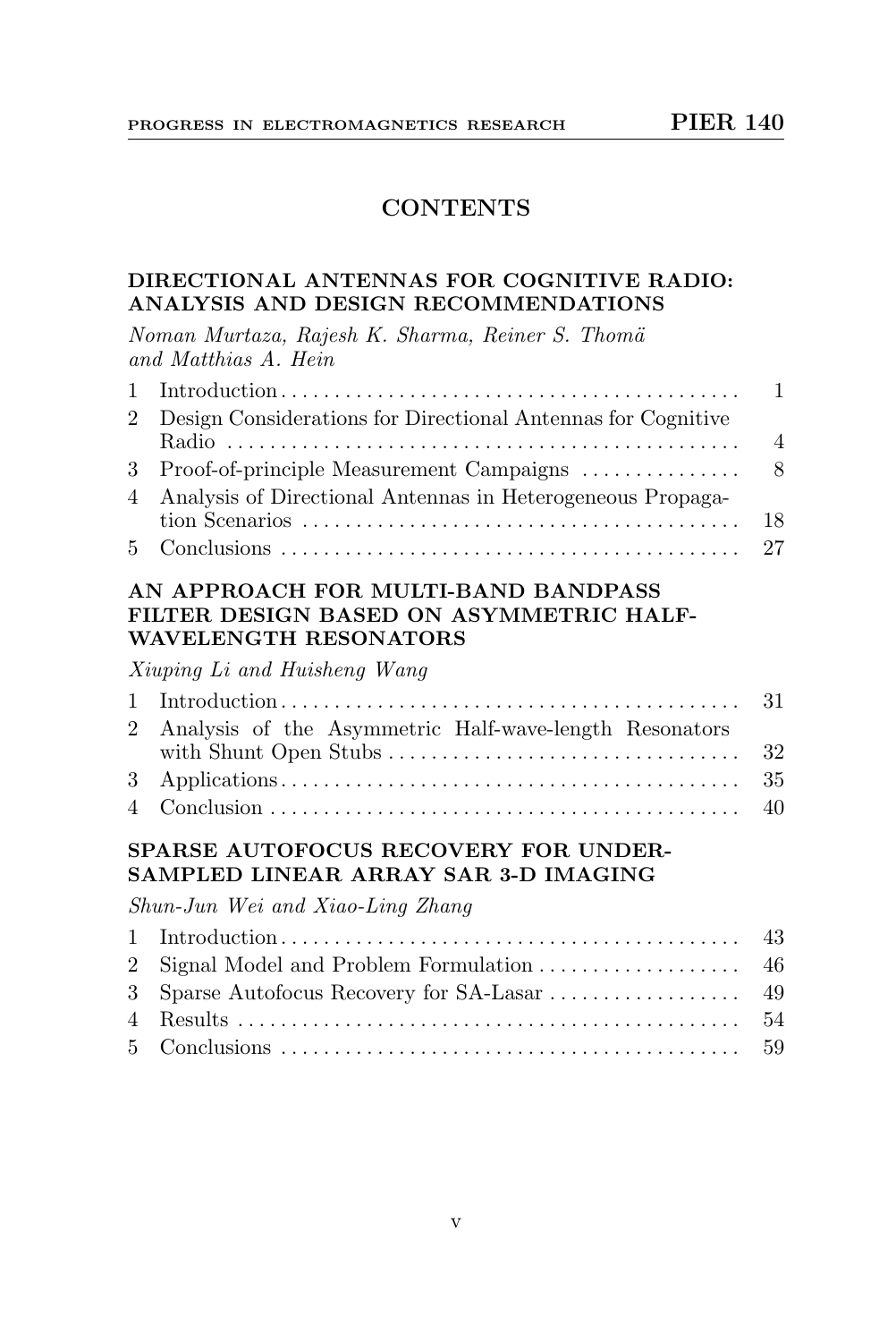# **CONTENTS**

#### DIRECTIONAL ANTENNAS FOR COGNITIVE RADIO: ANALYSIS AND DESIGN RECOMMENDATIONS

Noman Murtaza, Rajesh K. Sharma, Reiner S. Thomä and Matthias A. Hein

| 2 Design Considerations for Directional Antennas for Cognitive |  |
|----------------------------------------------------------------|--|
|                                                                |  |
|                                                                |  |
| 4 Analysis of Directional Antennas in Heterogeneous Propaga-   |  |
|                                                                |  |
|                                                                |  |

#### AN APPROACH FOR MULTI-BAND BANDPASS FILTER DESIGN BASED ON ASYMMETRIC HALF-WAVELENGTH RESONATORS

Xiuping Li and Huisheng Wang

| 2 Analysis of the Asymmetric Half-wave-length Resonators |  |
|----------------------------------------------------------|--|
|                                                          |  |
|                                                          |  |
|                                                          |  |

# SPARSE AUTOFOCUS RECOVERY FOR UNDER-SAMPLED LINEAR ARRAY SAR 3-D IMAGING

Shun-Jun Wei and Xiao-Ling Zhang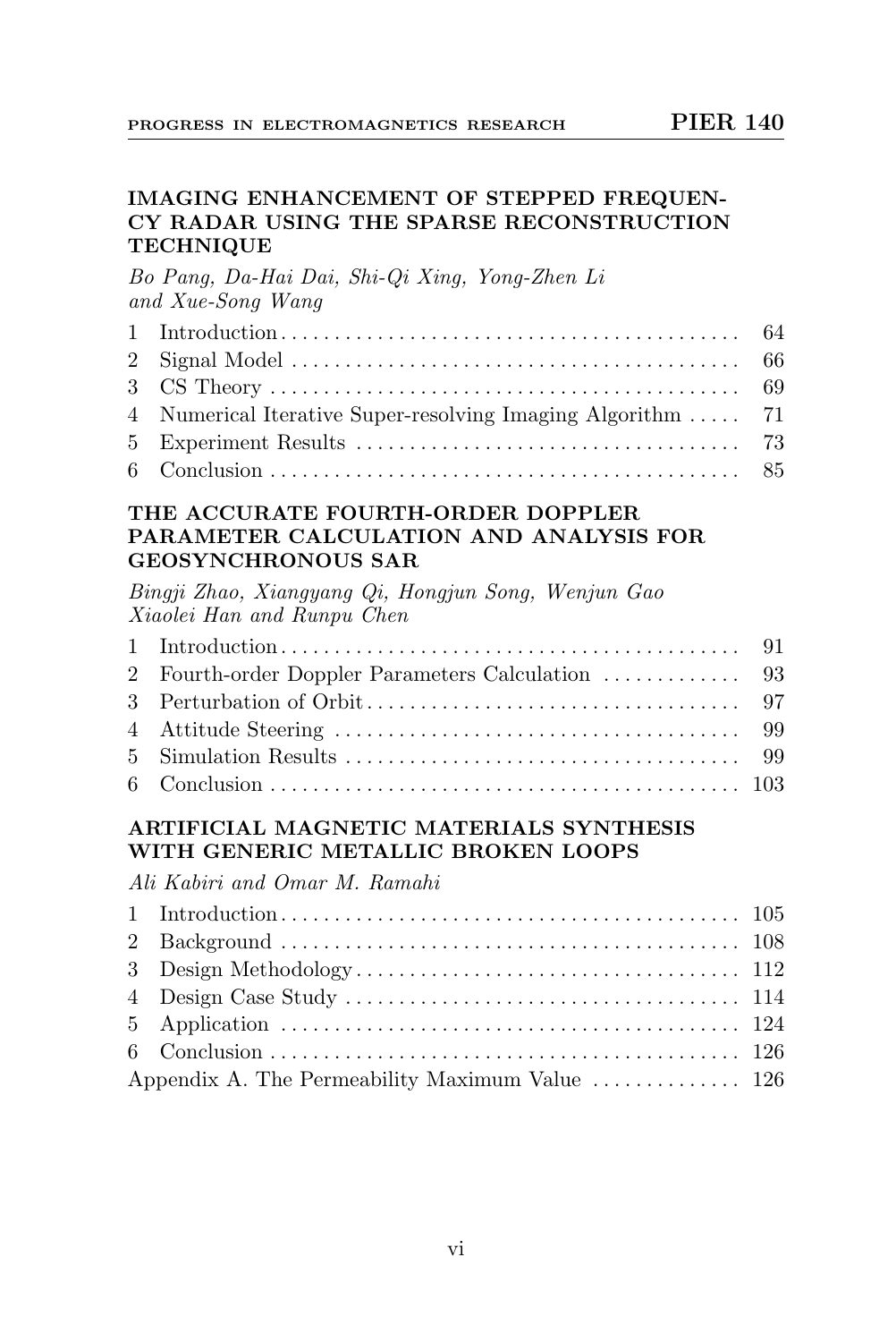#### IMAGING ENHANCEMENT OF STEPPED FREQUEN-CY RADAR USING THE SPARSE RECONSTRUCTION **TECHNIQUE**

Bo Pang, Da-Hai Dai, Shi-Qi Xing, Yong-Zhen Li and Xue-Song Wang

| 4 Numerical Iterative Super-resolving Imaging Algorithm  71 |  |
|-------------------------------------------------------------|--|
|                                                             |  |
|                                                             |  |

#### THE ACCURATE FOURTH-ORDER DOPPLER PARAMETER CALCULATION AND ANALYSIS FOR GEOSYNCHRONOUS SAR

Bingji Zhao, Xiangyang Qi, Hongjun Song, Wenjun Gao Xiaolei Han and Runpu Chen

# ARTIFICIAL MAGNETIC MATERIALS SYNTHESIS WITH GENERIC METALLIC BROKEN LOOPS

Ali Kabiri and Omar M. Ramahi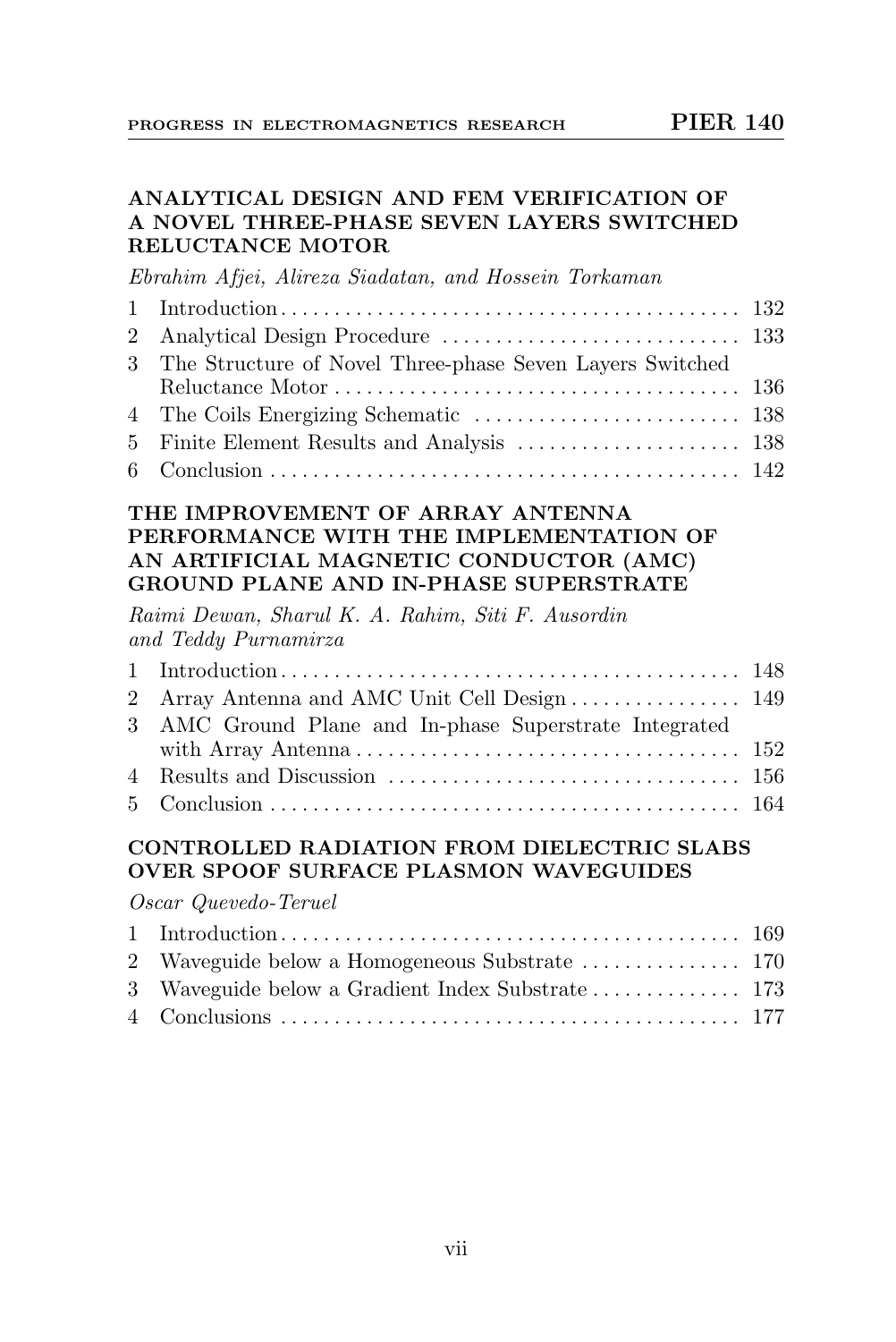#### ANALYTICAL DESIGN AND FEM VERIFICATION OF A NOVEL THREE-PHASE SEVEN LAYERS SWITCHED RELUCTANCE MOTOR

Ebrahim Afjei, Alireza Siadatan, and Hossein Torkaman

| 3 The Structure of Novel Three-phase Seven Layers Switched |  |
|------------------------------------------------------------|--|
|                                                            |  |
|                                                            |  |
|                                                            |  |
|                                                            |  |

#### THE IMPROVEMENT OF ARRAY ANTENNA PERFORMANCE WITH THE IMPLEMENTATION OF AN ARTIFICIAL MAGNETIC CONDUCTOR (AMC) GROUND PLANE AND IN-PHASE SUPERSTRATE

Raimi Dewan, Sharul K. A. Rahim, Siti F. Ausordin and Teddy Purnamirza

| 3 AMC Ground Plane and In-phase Superstrate Integrated |  |
|--------------------------------------------------------|--|
|                                                        |  |
|                                                        |  |
|                                                        |  |

#### CONTROLLED RADIATION FROM DIELECTRIC SLABS OVER SPOOF SURFACE PLASMON WAVEGUIDES

Oscar Quevedo-Teruel

| 2 Waveguide below a Homogeneous Substrate  170 |  |
|------------------------------------------------|--|
|                                                |  |
|                                                |  |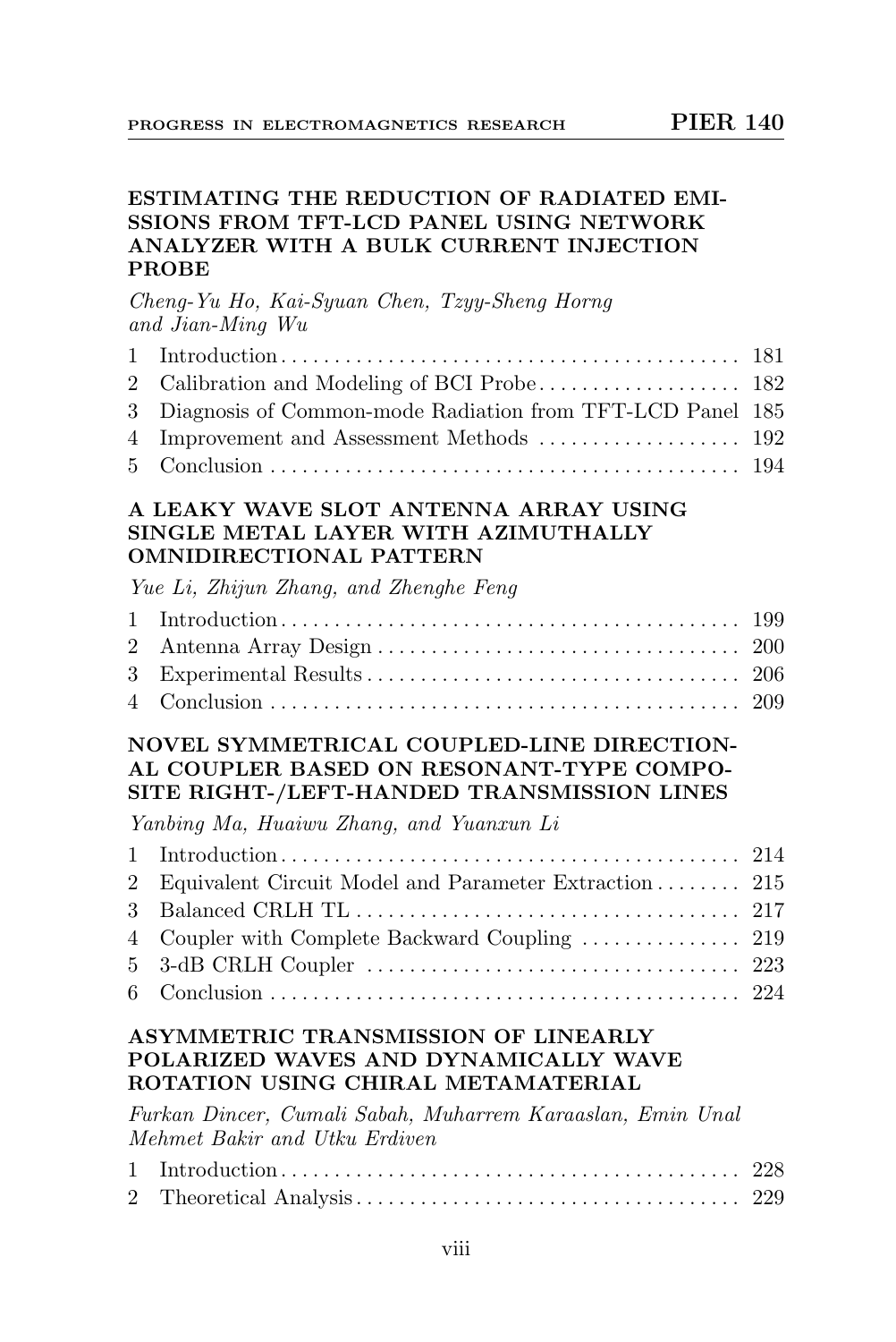# ESTIMATING THE REDUCTION OF RADIATED EMI-SSIONS FROM TFT-LCD PANEL USING NETWORK ANALYZER WITH A BULK CURRENT INJECTION PROBE

#### Cheng-Yu Ho, Kai-Syuan Chen, Tzyy-Sheng Horng and Jian-Ming Wu

| 3 Diagnosis of Common-mode Radiation from TFT-LCD Panel 185 |  |
|-------------------------------------------------------------|--|
|                                                             |  |
|                                                             |  |

#### A LEAKY WAVE SLOT ANTENNA ARRAY USING SINGLE METAL LAYER WITH AZIMUTHALLY OMNIDIRECTIONAL PATTERN

Yue Li, Zhijun Zhang, and Zhenghe Feng

# NOVEL SYMMETRICAL COUPLED-LINE DIRECTION-AL COUPLER BASED ON RESONANT-TYPE COMPO-SITE RIGHT-/LEFT-HANDED TRANSMISSION LINES

Yanbing Ma, Huaiwu Zhang, and Yuanxun Li

| 2 Equivalent Circuit Model and Parameter Extraction 215 |  |
|---------------------------------------------------------|--|
|                                                         |  |
|                                                         |  |
|                                                         |  |
|                                                         |  |

#### ASYMMETRIC TRANSMISSION OF LINEARLY POLARIZED WAVES AND DYNAMICALLY WAVE ROTATION USING CHIRAL METAMATERIAL

Furkan Dincer, Cumali Sabah, Muharrem Karaaslan, Emin Unal Mehmet Bakir and Utku Erdiven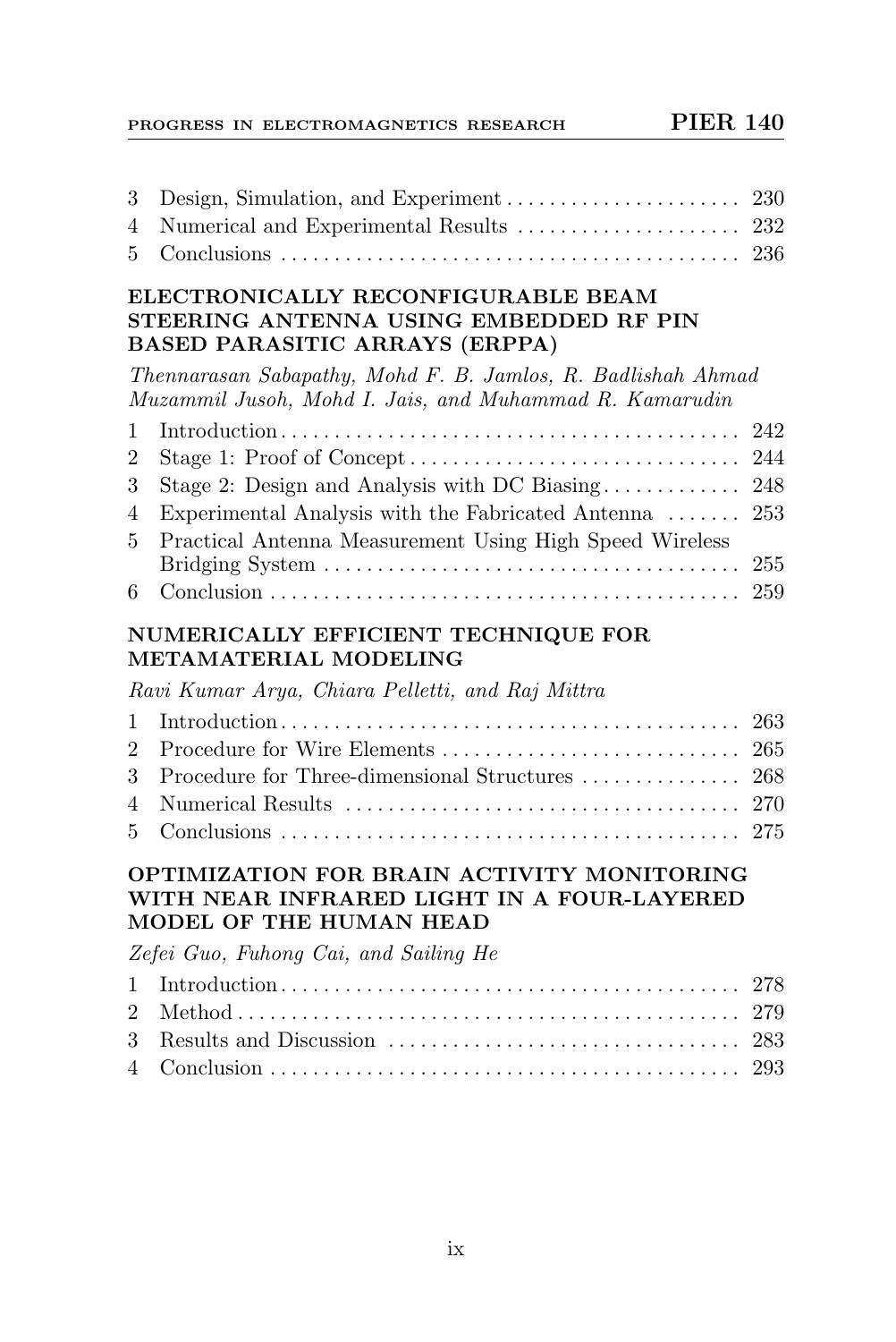# PROGRESS IN ELECTROMAGNETICS RESEARCH PIER 140

| 3<br>4<br>5                                                                                                         |                                                                                                                         | 230 |
|---------------------------------------------------------------------------------------------------------------------|-------------------------------------------------------------------------------------------------------------------------|-----|
|                                                                                                                     | ELECTRONICALLY RECONFIGURABLE BEAM<br>STEERING ANTENNA USING EMBEDDED RF PIN<br><b>BASED PARASITIC ARRAYS (ERPPA)</b>   |     |
|                                                                                                                     | Thennarasan Sabapathy, Mohd F. B. Jamlos, R. Badlishah Ahmad<br>Muzammil Jusoh, Mohd I. Jais, and Muhammad R. Kamarudin |     |
| 1                                                                                                                   |                                                                                                                         | 242 |
| $\overline{2}$                                                                                                      |                                                                                                                         | 244 |
| 3                                                                                                                   | Stage 2: Design and Analysis with DC Biasing                                                                            | 248 |
| 4<br>5                                                                                                              | Experimental Analysis with the Fabricated Antenna<br>Practical Antenna Measurement Using High Speed Wireless            | 253 |
|                                                                                                                     |                                                                                                                         | 255 |
| 6                                                                                                                   |                                                                                                                         | 259 |
|                                                                                                                     | NUMERICALLY EFFICIENT TECHNIQUE FOR<br>METAMATERIAL MODELING                                                            |     |
|                                                                                                                     | Ravi Kumar Arya, Chiara Pelletti, and Raj Mittra                                                                        |     |
| $\mathbf{1}$                                                                                                        |                                                                                                                         | 263 |
| $\overline{2}$                                                                                                      | Procedure for Wire Elements                                                                                             | 265 |
| 3                                                                                                                   | Procedure for Three-dimensional Structures                                                                              | 268 |
| 4                                                                                                                   |                                                                                                                         |     |
| 5                                                                                                                   |                                                                                                                         |     |
| OPTIMIZATION FOR BRAIN ACTIVITY MONITORING<br>WITH NEAR INFRARED LIGHT IN A FOUR-LAYERED<br>MODEL OF THE HUMAN HEAD |                                                                                                                         |     |
|                                                                                                                     | Zefei Guo, Fuhong Cai, and Sailing He                                                                                   |     |
| 1                                                                                                                   |                                                                                                                         | 278 |
| $\overline{2}$                                                                                                      |                                                                                                                         |     |
| 3                                                                                                                   |                                                                                                                         |     |
| 4                                                                                                                   |                                                                                                                         | 293 |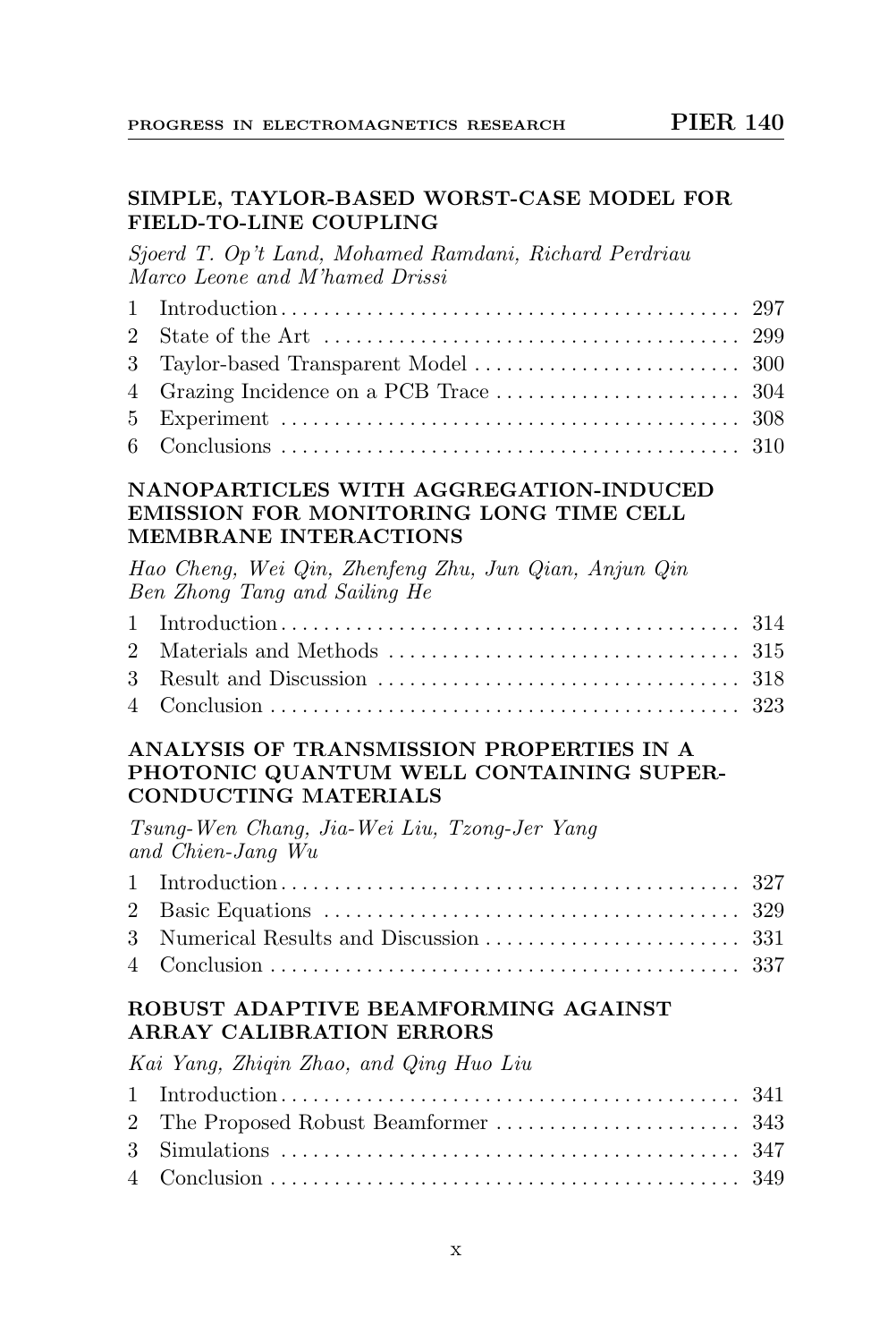#### SIMPLE, TAYLOR-BASED WORST-CASE MODEL FOR FIELD-TO-LINE COUPLING

Sjoerd T. Op't Land, Mohamed Ramdani, Richard Perdriau Marco Leone and M'hamed Drissi

#### NANOPARTICLES WITH AGGREGATION-INDUCED EMISSION FOR MONITORING LONG TIME CELL MEMBRANE INTERACTIONS

Hao Cheng, Wei Qin, Zhenfeng Zhu, Jun Qian, Anjun Qin Ben Zhong Tang and Sailing He

# ANALYSIS OF TRANSMISSION PROPERTIES IN A PHOTONIC QUANTUM WELL CONTAINING SUPER-CONDUCTING MATERIALS

Tsung-Wen Chang, Jia-Wei Liu, Tzong-Jer Yang and Chien-Jang Wu

# ROBUST ADAPTIVE BEAMFORMING AGAINST ARRAY CALIBRATION ERRORS

Kai Yang, Zhiqin Zhao, and Qing Huo Liu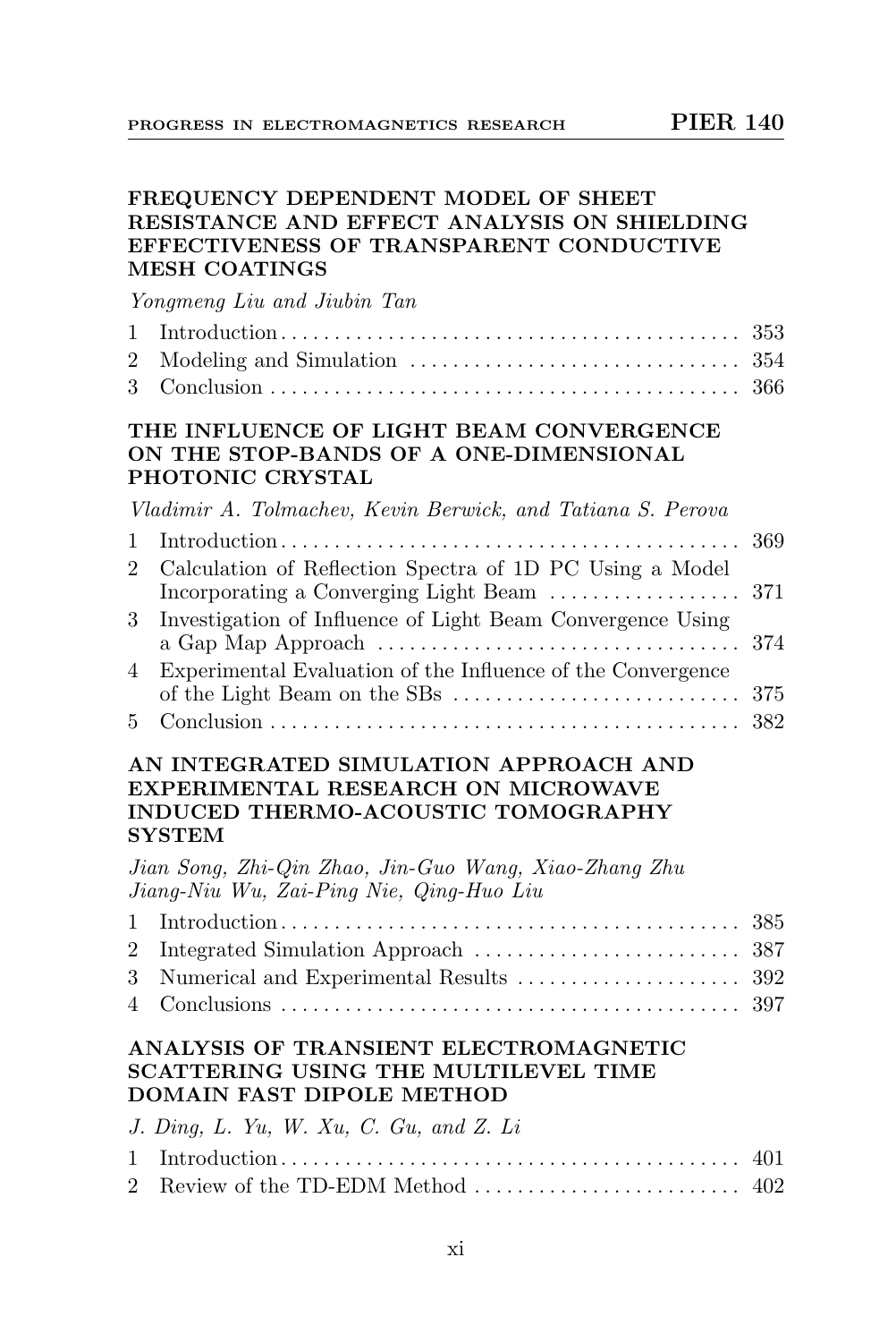#### FREQUENCY DEPENDENT MODEL OF SHEET RESISTANCE AND EFFECT ANALYSIS ON SHIELDING EFFECTIVENESS OF TRANSPARENT CONDUCTIVE MESH COATINGS

Yongmeng Liu and Jiubin Tan

| $\mathbf{1}$   |                                                                                                                                                      | 353 |
|----------------|------------------------------------------------------------------------------------------------------------------------------------------------------|-----|
| $\overline{2}$ |                                                                                                                                                      |     |
| 3              |                                                                                                                                                      | 366 |
|                | THE INFLUENCE OF LIGHT BEAM CONVERGENCE<br>ON THE STOP-BANDS OF A ONE-DIMENSIONAL<br>PHOTONIC CRYSTAL                                                |     |
|                | Vladimir A. Tolmachev, Kevin Berwick, and Tatiana S. Perova                                                                                          |     |
| $\mathbf{1}$   | $Introduction \dots \dots \dots \dots \dots \dots \dots \dots \dots \dots \dots \dots \dots \dots \dots$                                             | 369 |
| $2^{\circ}$    | Calculation of Reflection Spectra of 1D PC Using a Model<br>Incorporating a Converging Light Beam                                                    | 371 |
| $3^-$          | Investigation of Influence of Light Beam Convergence Using<br>a Gap Map Approach $\dots\dots\dots\dots\dots\dots\dots\dots\dots\dots\dots\dots\dots$ | 374 |
| 4              | Experimental Evaluation of the Influence of the Convergence                                                                                          | 375 |
| 5.             |                                                                                                                                                      | 382 |
|                | AN INTEGRATED SIMULATION APPROACH AND<br>EXPERIMENTAL RESEARCH ON MICROWAVE<br><b>INDUCED THERMO-ACOUSTIC TOMOGRAPHY</b>                             |     |

#### SYSTEM

Jian Song, Zhi-Qin Zhao, Jin-Guo Wang, Xiao-Zhang Zhu Jiang-Niu Wu, Zai-Ping Nie, Qing-Huo Liu

#### ANALYSIS OF TRANSIENT ELECTROMAGNETIC SCATTERING USING THE MULTILEVEL TIME DOMAIN FAST DIPOLE METHOD

| J. Ding, L. Yu, W. Xu, C. Gu, and Z. Li |  |
|-----------------------------------------|--|
|                                         |  |
|                                         |  |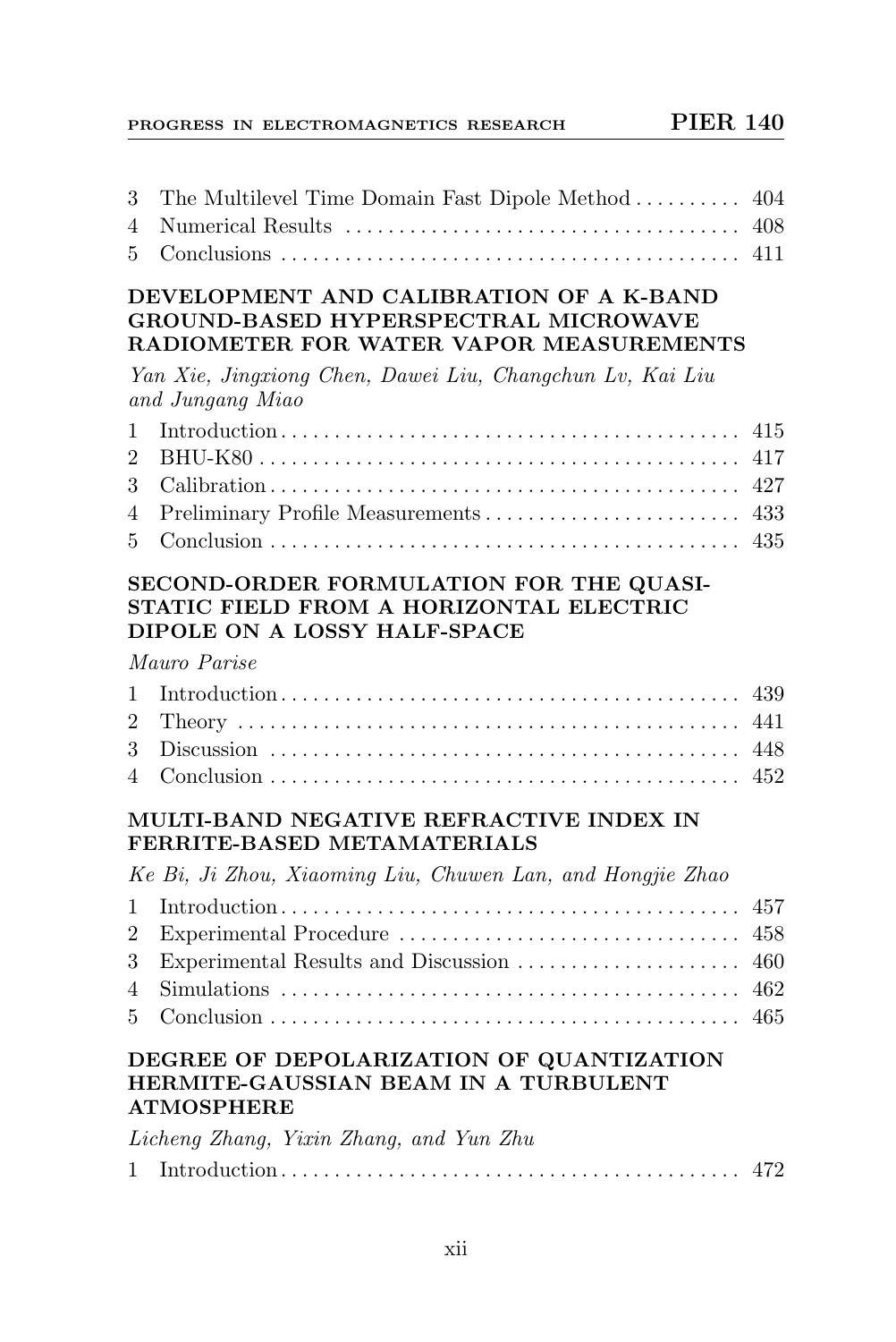| 3 The Multilevel Time Domain Fast Dipole Method  404 |  |
|------------------------------------------------------|--|
|                                                      |  |
|                                                      |  |

#### DEVELOPMENT AND CALIBRATION OF A K-BAND GROUND-BASED HYPERSPECTRAL MICROWAVE RADIOMETER FOR WATER VAPOR MEASUREMENTS

Yan Xie, Jingxiong Chen, Dawei Liu, Changchun Lv, Kai Liu and Jungang Miao

#### SECOND-ORDER FORMULATION FOR THE QUASI-STATIC FIELD FROM A HORIZONTAL ELECTRIC DIPOLE ON A LOSSY HALF-SPACE

#### Mauro Parise

# MULTI-BAND NEGATIVE REFRACTIVE INDEX IN FERRITE-BASED METAMATERIALS

Ke Bi, Ji Zhou, Xiaoming Liu, Chuwen Lan, and Hongjie Zhao

# DEGREE OF DEPOLARIZATION OF QUANTIZATION HERMITE-GAUSSIAN BEAM IN A TURBULENT ATMOSPHERE

|  | Licheng Zhang, Yixin Zhang, and Yun Zhu |  |  |
|--|-----------------------------------------|--|--|
|  |                                         |  |  |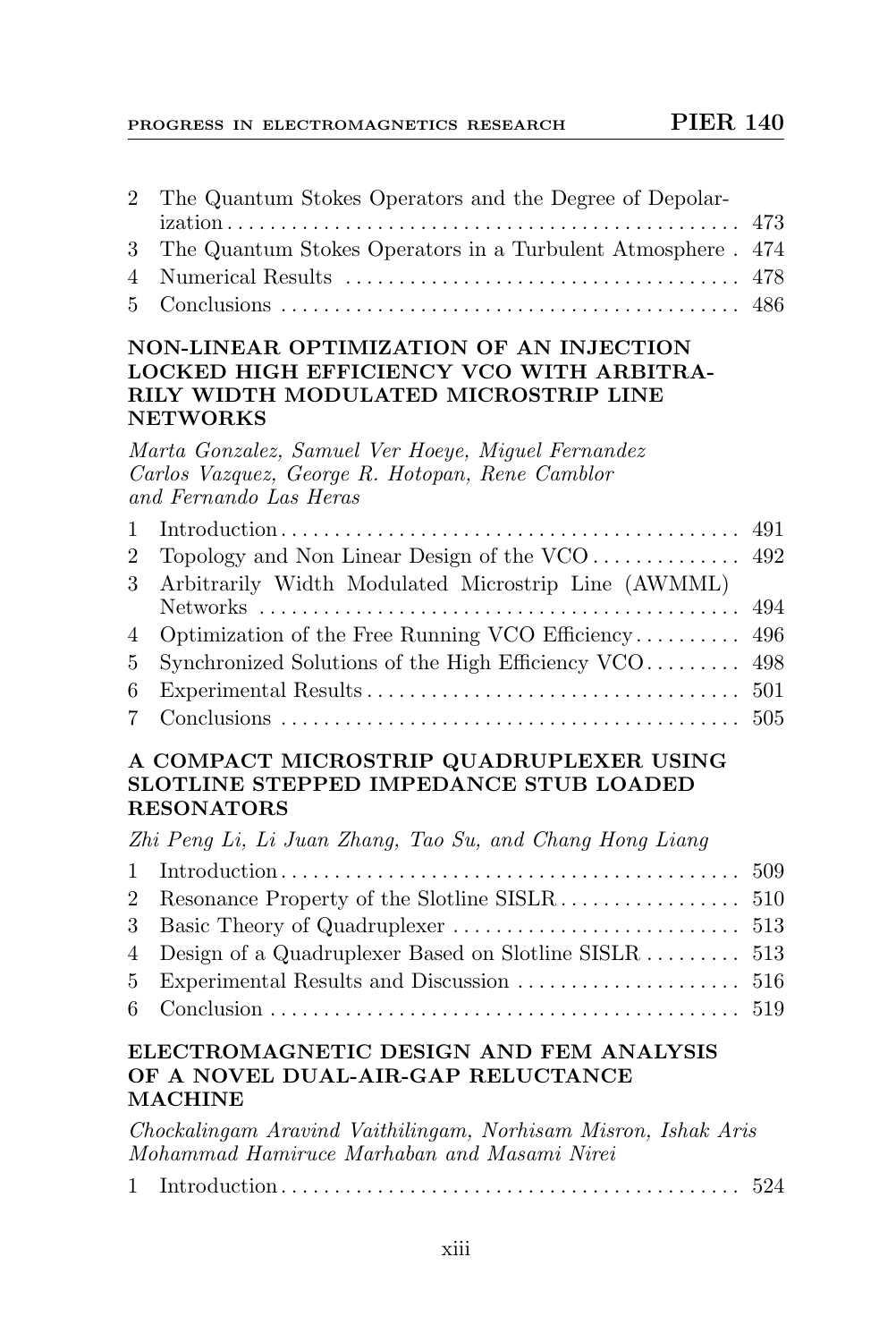| 2 The Quantum Stokes Operators and the Degree of Depolar-      |  |
|----------------------------------------------------------------|--|
|                                                                |  |
| 3 The Quantum Stokes Operators in a Turbulent Atmosphere . 474 |  |
|                                                                |  |
|                                                                |  |

# NON-LINEAR OPTIMIZATION OF AN INJECTION LOCKED HIGH EFFICIENCY VCO WITH ARBITRA-RILY WIDTH MODULATED MICROSTRIP LINE NETWORKS

Marta Gonzalez, Samuel Ver Hoeye, Miguel Fernandez Carlos Vazquez, George R. Hotopan, Rene Camblor and Fernando Las Heras

| 3 Arbitrarily Width Modulated Microstrip Line (AWMML)   |  |
|---------------------------------------------------------|--|
|                                                         |  |
|                                                         |  |
| 5 Synchronized Solutions of the High Efficiency VCO 498 |  |
|                                                         |  |
|                                                         |  |
|                                                         |  |

# A COMPACT MICROSTRIP QUADRUPLEXER USING SLOTLINE STEPPED IMPEDANCE STUB LOADED RESONATORS

Zhi Peng Li, Li Juan Zhang, Tao Su, and Chang Hong Liang

#### ELECTROMAGNETIC DESIGN AND FEM ANALYSIS OF A NOVEL DUAL-AIR-GAP RELUCTANCE MACHINE

Chockalingam Aravind Vaithilingam, Norhisam Misron, Ishak Aris Mohammad Hamiruce Marhaban and Masami Nirei

|--|--|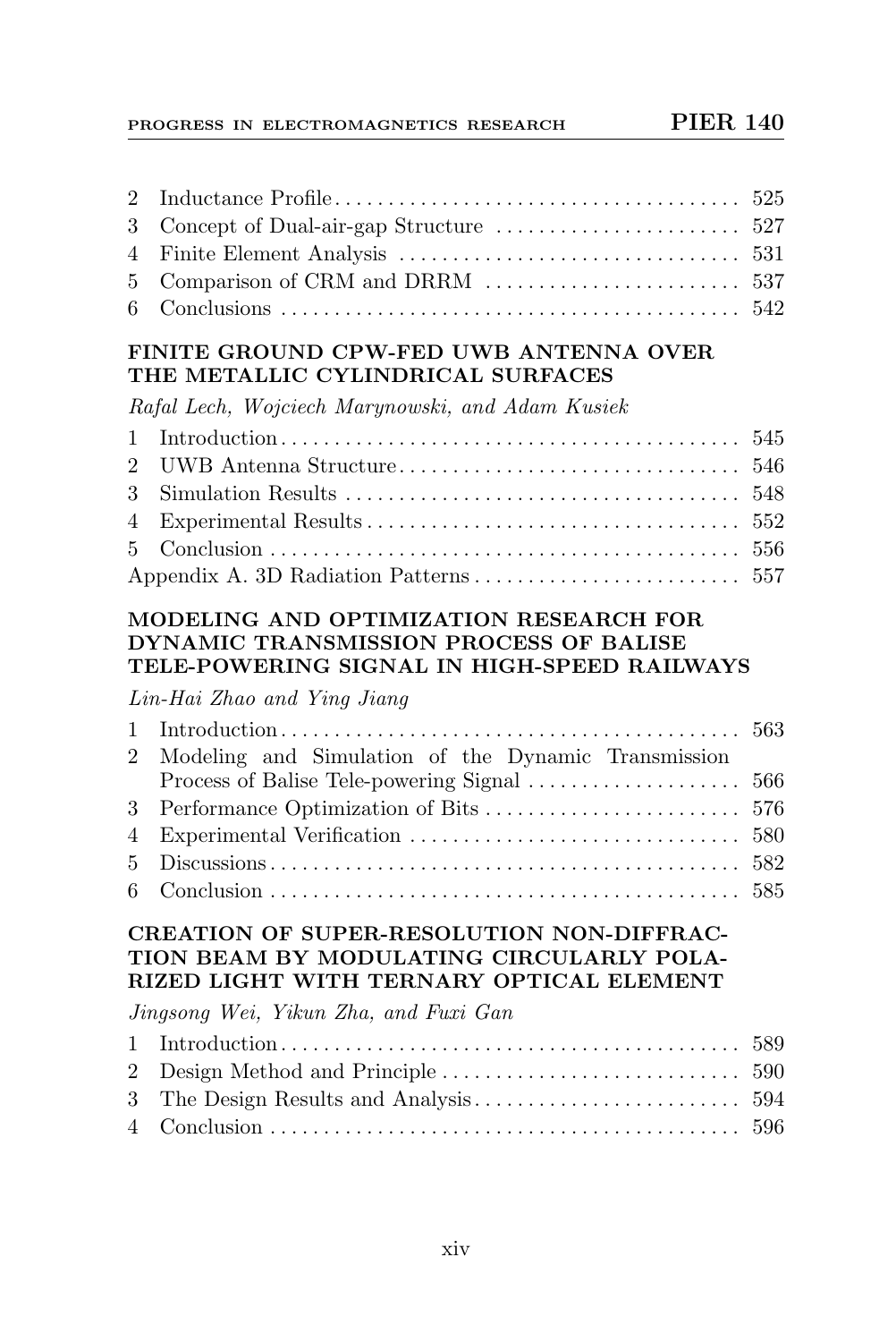# FINITE GROUND CPW-FED UWB ANTENNA OVER THE METALLIC CYLINDRICAL SURFACES

Rafal Lech, Wojciech Marynowski, and Adam Kusiek

# MODELING AND OPTIMIZATION RESEARCH FOR DYNAMIC TRANSMISSION PROCESS OF BALISE TELE-POWERING SIGNAL IN HIGH-SPEED RAILWAYS

Lin-Hai Zhao and Ying Jiang

| 2 Modeling and Simulation of the Dynamic Transmission |  |
|-------------------------------------------------------|--|
|                                                       |  |
|                                                       |  |
|                                                       |  |
|                                                       |  |
|                                                       |  |
|                                                       |  |

# CREATION OF SUPER-RESOLUTION NON-DIFFRAC-TION BEAM BY MODULATING CIRCULARLY POLA-RIZED LIGHT WITH TERNARY OPTICAL ELEMENT

Jingsong Wei, Yikun Zha, and Fuxi Gan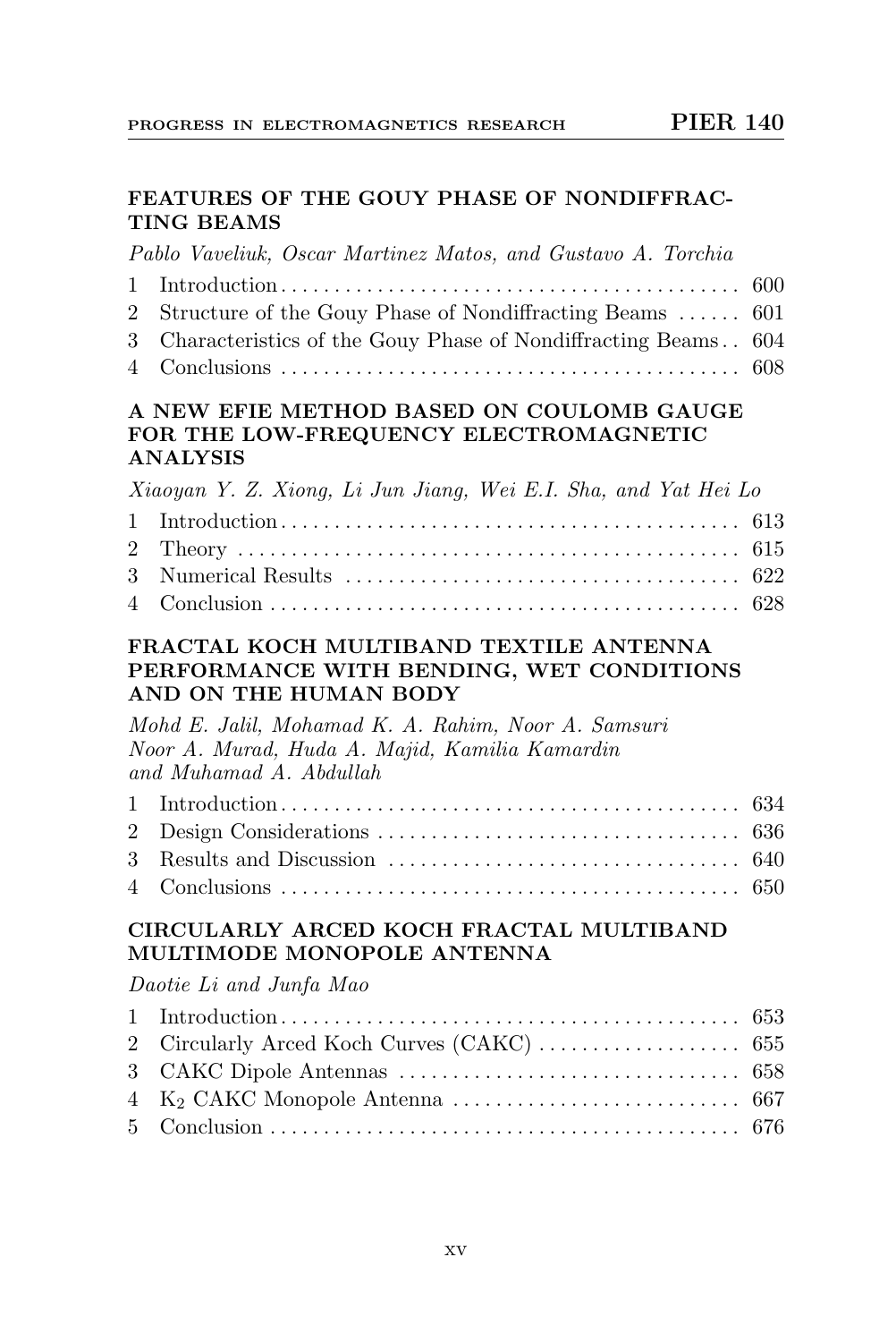# FEATURES OF THE GOUY PHASE OF NONDIFFRAC-TING BEAMS

Pablo Vaveliuk, Oscar Martinez Matos, and Gustavo A. Torchia

| 2 Structure of the Gouy Phase of Nondiffracting Beams  601      |  |
|-----------------------------------------------------------------|--|
| 3 Characteristics of the Gouy Phase of Nondiffracting Beams 604 |  |
|                                                                 |  |

#### A NEW EFIE METHOD BASED ON COULOMB GAUGE FOR THE LOW-FREQUENCY ELECTROMAGNETIC ANALYSIS

| Xiaoyan Y. Z. Xiong, Li Jun Jiang, Wei E.I. Sha, and Yat Hei Lo |  |
|-----------------------------------------------------------------|--|
|                                                                 |  |
|                                                                 |  |
|                                                                 |  |
|                                                                 |  |

#### FRACTAL KOCH MULTIBAND TEXTILE ANTENNA PERFORMANCE WITH BENDING, WET CONDITIONS AND ON THE HUMAN BODY

Mohd E. Jalil, Mohamad K. A. Rahim, Noor A. Samsuri Noor A. Murad, Huda A. Majid, Kamilia Kamardin and Muhamad A. Abdullah

# CIRCULARLY ARCED KOCH FRACTAL MULTIBAND MULTIMODE MONOPOLE ANTENNA

Daotie Li and Junfa Mao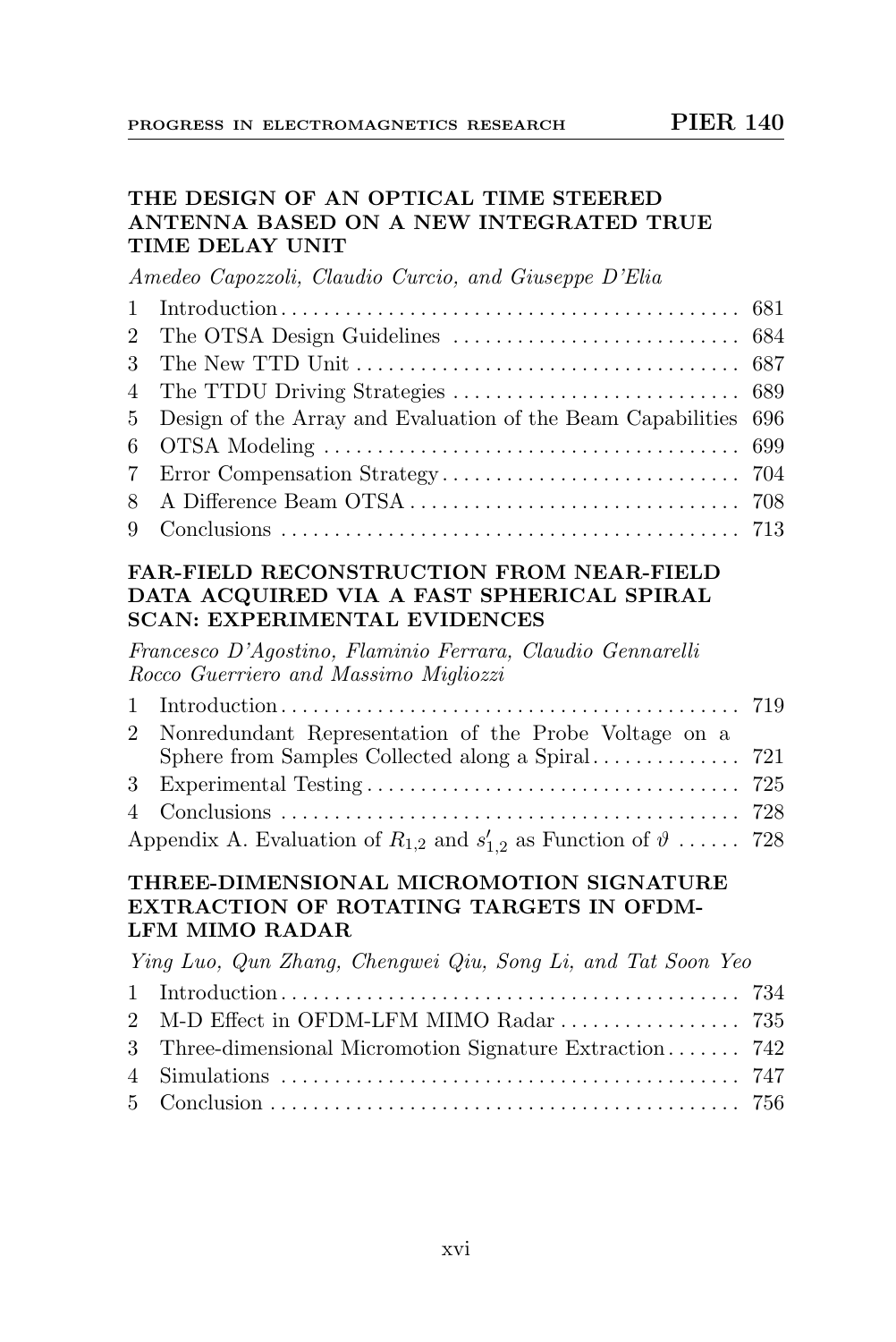# THE DESIGN OF AN OPTICAL TIME STEERED ANTENNA BASED ON A NEW INTEGRATED TRUE TIME DELAY UNIT

Amedeo Capozzoli, Claudio Curcio, and Giuseppe D'Elia

| 5 Design of the Array and Evaluation of the Beam Capabilities 696 |  |
|-------------------------------------------------------------------|--|
|                                                                   |  |
|                                                                   |  |
|                                                                   |  |
|                                                                   |  |

#### FAR-FIELD RECONSTRUCTION FROM NEAR-FIELD DATA ACQUIRED VIA A FAST SPHERICAL SPIRAL SCAN: EXPERIMENTAL EVIDENCES

Francesco D'Agostino, Flaminio Ferrara, Claudio Gennarelli Rocco Guerriero and Massimo Migliozzi

| 2 Nonredundant Representation of the Probe Voltage on a                           |  |
|-----------------------------------------------------------------------------------|--|
|                                                                                   |  |
|                                                                                   |  |
|                                                                                   |  |
| Appendix A. Evaluation of $R_{1,2}$ and $s'_{1,2}$ as Function of $\vartheta$ 728 |  |

#### THREE-DIMENSIONAL MICROMOTION SIGNATURE EXTRACTION OF ROTATING TARGETS IN OFDM-LFM MIMO RADAR

| Ying Luo, Qun Zhang, Chengwei Qiu, Song Li, and Tat Soon Yeo |  |
|--------------------------------------------------------------|--|
|                                                              |  |
| 2 M-D Effect in OFDM-LFM MIMO Radar  735                     |  |
| 3 Three-dimensional Micromotion Signature Extraction 742     |  |
|                                                              |  |
|                                                              |  |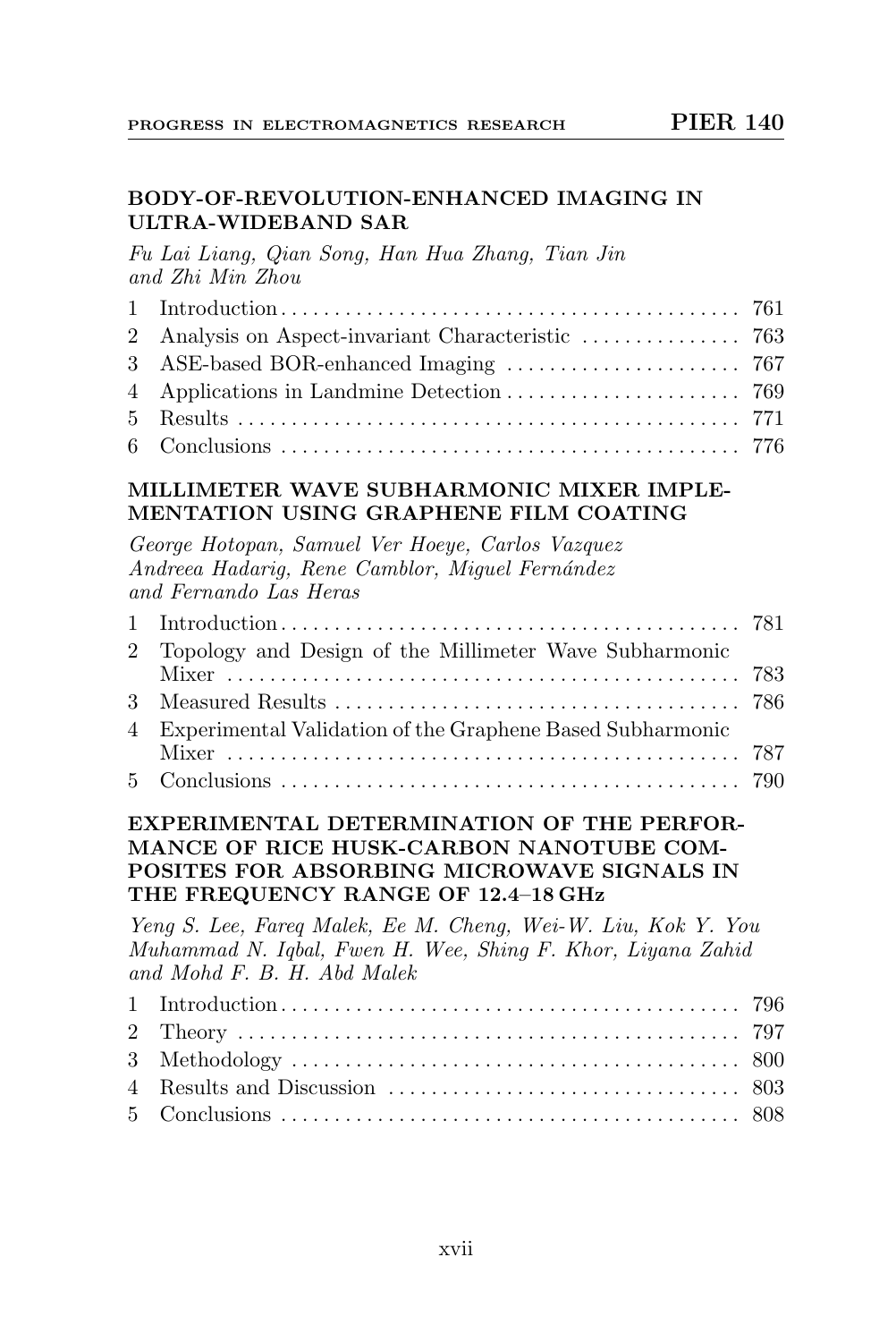# BODY-OF-REVOLUTION-ENHANCED IMAGING IN ULTRA-WIDEBAND SAR

Fu Lai Liang, Qian Song, Han Hua Zhang, Tian Jin and Zhi Min Zhou

#### MILLIMETER WAVE SUBHARMONIC MIXER IMPLE-MENTATION USING GRAPHENE FILM COATING

George Hotopan, Samuel Ver Hoeye, Carlos Vazquez Andreea Hadarig, Rene Camblor, Miguel Fernández and Fernando Las Heras

| 2 Topology and Design of the Millimeter Wave Subharmonic    |  |
|-------------------------------------------------------------|--|
|                                                             |  |
|                                                             |  |
| 4 Experimental Validation of the Graphene Based Subharmonic |  |
|                                                             |  |
|                                                             |  |

#### EXPERIMENTAL DETERMINATION OF THE PERFOR-MANCE OF RICE HUSK-CARBON NANOTUBE COM-POSITES FOR ABSORBING MICROWAVE SIGNALS IN THE FREQUENCY RANGE OF 12.4–18 GHz

Yeng S. Lee, Fareq Malek, Ee M. Cheng, Wei-W. Liu, Kok Y. You Muhammad N. Iqbal, Fwen H. Wee, Shing F. Khor, Liyana Zahid and Mohd F. B. H. Abd Malek